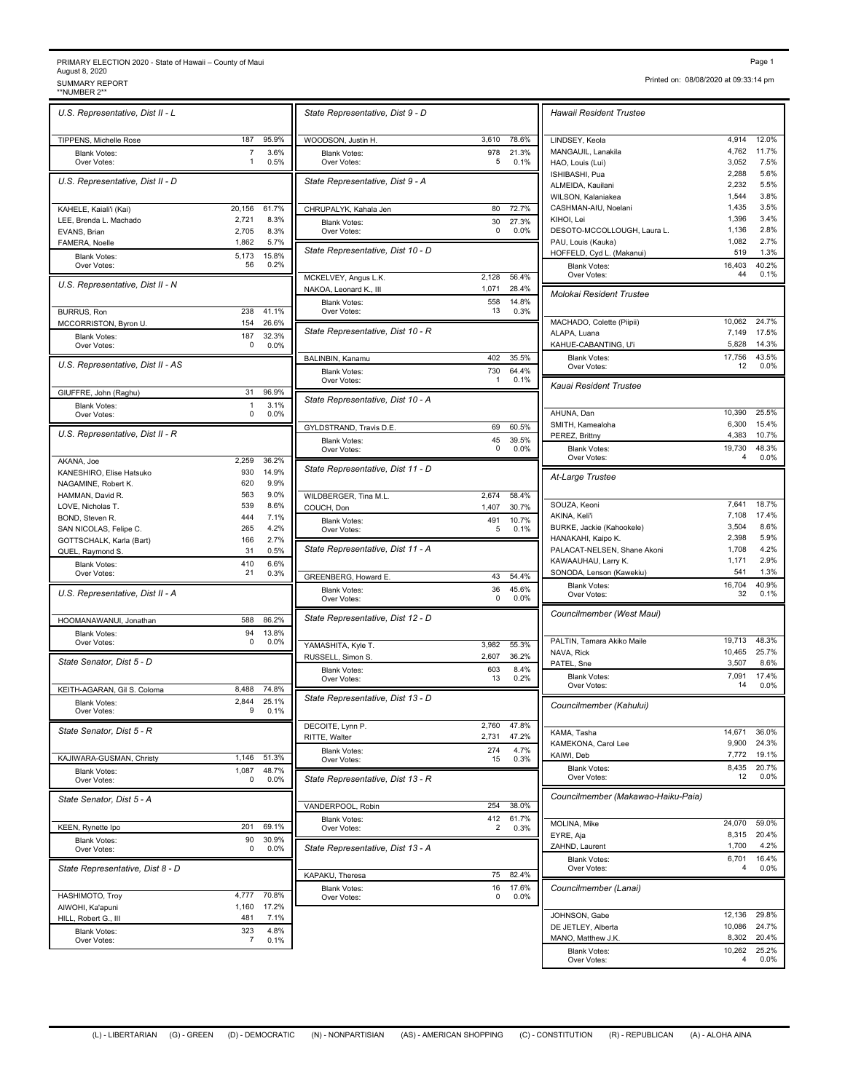## PRIMARY ELECTION 2020 - State of Hawaii – County of Maui August 8, 2020 PRIMARY ELECTION 2020 - State of Hawaii – County of Maui<br>August 8, 2020<br>\*NUMBER 2\*\* SUMMARY REPORT<br>\*\*NUMBER 2\*\* SUMMARY REPORT PAGE 109:33:14 pm

*U.S. Representative, Dist II - L* TIPPENS, Michelle Rose 187 95.9% Blank Votes: 7 3.6%<br>Over Votes: 1 0.5% Over Votes:  $\begin{array}{ccc} 1 & 0.5\% & 1 \end{array}$  Over Votes: *U.S. Representative, Dist II - D* KAHELE, Kaiali'i (Kai) 20,156 61.7% LEE, Brenda L. Machado 2,721 8.3% EVANS, Brian 2,705 8.3% FAMERA, Noelle 1,862 5.7% Blank Votes: 5,173 15.8%<br>Over Votes: 56 0.2% Over Votes: 56 0.2% 15.8% *U.S. Representative, Dist II - N* BURRUS, Ron 238 41.1%<br>MCCORRISTON. Byron U. 454 26.6% MCCORRISTON, Byron U. Blank Votes: 187 32.3%<br>Over Votes: 187 00% 0.0% Over Votes: 0 0.0% 32.3% *U.S. Representative, Dist II - AS* GIUFFRE, John (Raghu) 31 96.9% Blank Votes: 1 3.1%<br>Over Votes: 0 0.0% Over Votes: 0 0.0% 3.1% *U.S. Representative, Dist II - R* AKANA, Joe 2,259 36.2% KANESHIRO, Elise Hatsuko 930 14.9%<br>NAGAMINE Pobert K 620 99% NAGAMINE, Robert K. 620 9.9%<br>HAMMAN, David R. 663 9.0% HAMMAN, David R. 563 9.0% LOVE, Nicholas T. 539 8.6% BOND, Steven R. 444 7.1%<br>SAN NICOLAS. Felipe C. 45 265 4.2% SAN NICOLAS, Felipe C. GOTTSCHALK, Karla (Bart) 166 2.7% QUEL, Raymond S. 31 0.5% Blank Votes: 410 6.6%<br>Over Votes: 410 6.6%<br>21 0.3% Over Votes: 21 0.3% CREENBERG Howard E 6.6% *U.S. Representative, Dist II - A* HOOMANAWANUI, Jonathan 588 86.2% Blank Votes: 94 13.8%<br>Over Votes: 0 0.0% Over Votes: 0 0.0% WAMASHITA Kyle T 13.8% *State Senator, Dist 5 - D* KEITH-AGARAN, Gil S. Coloma 8,488 74.8% Blank Votes: 2,844 25.1%<br>Over Votes: 9 0.1% Over Votes:  $9 \t 0.1\%$  || 2.844 25.1% *State Senator, Dist 5 - R* KAJIWARA-GUSMAN, Christy 1,146 51.3% Blank Votes: 1,087 48.7%<br>Over Votes: 0 0.0% Over Votes: 0 0.0% || State Representative, Dist 1 48.7% *State Senator, Dist 5 - A* KEEN, Rynette Ipo 201 69.1% Blank Votes: 90 30.9%<br>Over Votes: 0 0.0% Over Votes: 0 0.0% 【】 State Representative, Dist 1 30.9% *State Representative, Dist 8 - D* HASHIMOTO, Troy 4,777 70.8% AIWOHI, Ka'apuni 1,160 17.2% HILL, Robert G., III Blank Votes: 323 4.8%<br>Over Votes: 323 7 0.1% 4.8%

Over Votes: 7 0.1%

|                | State Representative, Dist 9 - D        |           |               | Hawaii Resident Trustee             |                |
|----------------|-----------------------------------------|-----------|---------------|-------------------------------------|----------------|
| 95.9%          | WOODSON, Justin H.                      | 3,610     | 78.6%         | LINDSEY, Keola                      | 4,91           |
| 3.6%           | <b>Blank Votes:</b>                     | 978       | 21.3%         | MANGAUIL, Lanakila                  | 4,76           |
| 0.5%           | Over Votes:                             | 5         | 0.1%          | HAO, Louis (Lui)                    | 3,05<br>2,28   |
|                | State Representative, Dist 9 - A        |           |               | ISHIBASHI, Pua<br>ALMEIDA, Kauilani | 2,23           |
|                |                                         |           |               | WILSON, Kalaniakea                  | 1,54           |
| 31.7%          | CHRUPALYK, Kahala Jen                   | 80        | 72.7%         | CASHMAN-AIU, Noelani                | 1,43           |
| 8.3%           | <b>Blank Votes:</b>                     | 30        | 27.3%         | KIHOI, Lei                          | 1,39           |
| 8.3%           | Over Votes:                             | 0         | 0.0%          | DESOTO-MCCOLLOUGH, Laura L.         | 1,13           |
| 5.7%           |                                         |           |               | PAU, Louis (Kauka)                  | 1,08           |
| 15.8%          | State Representative, Dist 10 - D       |           |               | HOFFELD, Cyd L. (Makanui)           | 5 <sup>1</sup> |
| 0.2%           |                                         |           |               | <b>Blank Votes:</b><br>Over Votes:  | 16,40          |
|                | MCKELVEY, Angus L.K.                    | 2,128     | 56.4%         |                                     |                |
|                | NAKOA, Leonard K., III                  | 1,071     | 28.4%         | Molokai Resident Trustee            |                |
| 11.1%          | <b>Blank Votes:</b><br>Over Votes:      | 558<br>13 | 14.8%<br>0.3% |                                     |                |
| 26.6%          |                                         |           |               | MACHADO, Colette (Piipii)           | 10,06          |
| 32.3%          | State Representative, Dist 10 - R       |           |               | ALAPA, Luana                        | 7,14           |
| 0.0%           |                                         |           |               | KAHUE-CABANTING, U'i                | 5,82           |
|                | BALINBIN, Kanamu                        | 402       | 35.5%         | <b>Blank Votes:</b>                 | 17,75          |
|                | <b>Blank Votes:</b>                     | 730       | 64.4%         | Over Votes:                         |                |
|                | Over Votes:                             | 1         | 0.1%          | Kauai Resident Trustee              |                |
| 96.9%          |                                         |           |               |                                     |                |
| 3.1%           | State Representative, Dist 10 - A       |           |               |                                     |                |
| 0.0%           |                                         |           |               | AHUNA, Dan                          | 10,39          |
|                | GYLDSTRAND, Travis D.E.                 | 69        | 60.5%         | SMITH, Kamealoha                    | 6,30           |
|                | <b>Blank Votes:</b>                     | 45        | 39.5%         | PEREZ, Brittny                      | 4,38           |
|                | Over Votes:                             | 0         | 0.0%          | <b>Blank Votes:</b><br>Over Votes:  | 19,73          |
| 36.2%<br>14.9% | State Representative, Dist 11 - D       |           |               |                                     |                |
| 9.9%           |                                         |           |               | At-Large Trustee                    |                |
| 9.0%           | WILDBERGER, Tina M.L.                   | 2,674     | 58.4%         |                                     |                |
| 8.6%           | COUCH, Don                              | 1,407     | 30.7%         | SOUZA, Keoni                        | 7,64           |
| 7.1%           | <b>Blank Votes:</b>                     | 491       | 10.7%         | AKINA, Keli'i                       | 7,10           |
| 4.2%           | Over Votes:                             | 5         | 0.1%          | BURKE, Jackie (Kahookele)           | 3,50           |
| 2.7%           |                                         |           |               | HANAKAHI, Kaipo K.                  | 2,39           |
| 0.5%           | State Representative, Dist 11 - A       |           |               | PALACAT-NELSEN, Shane Akoni         | 1,70           |
| 6.6%           |                                         |           |               | KAWAAUHAU, Larry K.                 | 1,17           |
| 0.3%           | GREENBERG, Howard E.                    | 43        | 54.4%         | SONODA, Lenson (Kawekiu)            | 54             |
|                | <b>Blank Votes:</b>                     | 36        | 45.6%         | <b>Blank Votes:</b><br>Over Votes:  | 16,70          |
|                | Over Votes:                             | 0         | 0.0%          |                                     |                |
| 36.2%          | State Representative, Dist 12 - D       |           |               | Councilmember (West Maui)           |                |
|                |                                         |           |               |                                     |                |
| 13.8%<br>0.0%  |                                         | 3,982     | 55.3%         | PALTIN, Tamara Akiko Maile          | 19,71          |
|                | YAMASHITA, Kyle T.<br>RUSSELL, Simon S. | 2,607     | 36.2%         | NAVA, Rick                          | 10,46          |
|                |                                         | 603       | 8.4%          | PATEL, Sne                          | 3,50           |
|                | <b>Blank Votes:</b><br>Over Votes:      | 13        | 0.2%          | <b>Blank Votes:</b>                 | 7,09           |
| 4.8%           |                                         |           |               | Over Votes:                         |                |
| 25.1%          | State Representative, Dist 13 - D       |           |               | Councilmember (Kahului)             |                |
| 0.1%           |                                         |           |               |                                     |                |
|                | DECOITE, Lynn P.                        | 2,760     | 47.8%         |                                     |                |
|                | RITTE, Walter                           | 2,731     | 47.2%         | KAMA, Tasha                         | 14,67<br>9,90  |
|                | <b>Blank Votes:</b>                     | 274       | 4.7%          | KAMEKONA, Carol Lee<br>KAIWI, Deb   | 7,77           |
| 51.3%          | Over Votes:                             | 15        | 0.3%          |                                     | 8,43           |
| 18.7%<br>0.0%  | State Representative, Dist 13 - R       |           |               | <b>Blank Votes:</b><br>Over Votes:  |                |
|                |                                         |           |               |                                     |                |
|                |                                         |           |               | Councilmember (Makawao-Haiku-Paia)  |                |
|                | VANDERPOOL, Robin                       | 254       | 38.0%         |                                     |                |
| 39.1%          | <b>Blank Votes:</b><br>Over Votes:      | 412<br>2  | 61.7%<br>0.3% | MOLINA, Mike                        | 24,07          |
| 30.9%          |                                         |           |               | EYRE, Aja                           | 8,31           |
| 0.0%           | State Representative, Dist 13 - A       |           |               | ZAHND, Laurent                      | 1,70           |
|                |                                         |           |               | <b>Blank Votes:</b>                 | 6,70           |
|                | KAPAKU, Theresa                         | 75        | 82.4%         | Over Votes:                         |                |
|                | <b>Blank Votes:</b>                     | 16        | 17.6%         | Councilmember (Lanai)               |                |
| 0.8%           | Over Votes:                             | 0         | 0.0%          |                                     |                |
| 17.2%<br>7.10/ |                                         |           |               | JOHNSON, Gabe                       | 12,13          |

WOODSON, Justin H. 3,610 78.6% LINDSEY, Keola 4,914 12.0% Over Votes: 5 0.1% HAO, Louis (Lui) 3,052 7.5% 21.3% MANGAUIL, Lanakila 4,762 11.7% CHRUPALYK, Kahala Jen 80 72.7% CASHMAN-AIU, Noelani 1,435 3.5% Over Votes: 0 0.0% 27.3% DESOTO-MCCOLLOUGH, Laura L. 1,136 2.8% 14.8%  $64.4\%$   $\blacksquare$  39.5% PEREZ, Brittny 4,383 10.7% Over Votes: 5 0.1% 10.7% BURKE, Jackie (Kahookele) 3,504 8.6% GREENBERG, Howard E. 43 54.4% SONODA, Lenson (Kawekiu) 541 1.3% 45.6% Blank Votes: 16,704 40.9% YAMASHITA, Kyle T. 3,982 55.3% PALTIN, Tamara Akiko Maile 19,713 48.3% 8.4% Blank Votes: 7,091 17.4% RITTE, Walter 2,731 47.2% RITTE, Walter 2,731 47.2% RAMEKONA, Carol Lee 9,900 24.3% KAIWI, Deb 61.7%  $\boxed{\phantom{000}0.29}$  MOLINA, Mike 24,070 59.0% *Hawaii Resident Trustee* ISHIBASHI, Pua 2,288 5.6% ALMEIDA, Kauilani 2,232 5.5%<br>WILSON, Kalaniakea 2002 1,544 3.8% WILSON, Kalaniakea 1,544 3.8%<br>CASHMAN-AIU, Noelani 1,435 3.5% KIHOI, Lei 1,396 3.4% PAU, Louis (Kauka) 1,082 2.7% HOFFELD, Cyd L. (Makanui) 519 1.3% Blank Votes: 16,403 40.2%<br>Over Votes: 44 0.1% Over Votes: 44 0.1% 40.2% MACHADO, Colette (Piipii) 10,062 24.7%<br>ALAPA Luana 7.149 17.5% ALAPA, Luana KAHUE-CABANTING, U'i 5,828 14.3% Blank Votes: 17,756 43.5%<br>Over Votes: 12 0.0% Over Votes:  $12 0.0\%$  43.5% AHUNA, Dan 10,390 25.5% SMITH, Kamealoha 6,300 15.4% Blank Votes: 19,730 48.3%<br>Over Votes: 4 0.0% Over Votes: 4 0.0% 48.3% *At-Large Trustee* SOUZA, Keoni 7,641 18.7% AKINA, Keli'i 7,108 17.4% HANAKAHI, Kaipo K. 2,398 5.9%<br>PALACAT-NELSEN, Shane Akoni 1,708 4.2% PALACAT-NELSEN, Shane Akoni KAWAAUHAU, Larry K. 1,171 2.9% Over Votes: 32 0.1% 40.9% *Councilmember (West Maui)* NAVA, Rick 10,465 25.7%<br>PATEL, Sne 10,465 25.7% 2,507 2,60% PATEL, Sne Over Votes: 14 0.0% 17.4% *Councilmember (Kahului)* KAMA, Tasha 14,671 36.0% KAIWI, Deb 7,772 19.1% Blank Votes:<br>
Over Votes: 8,435 20.7%<br>
20.0%<br>
20.0% Over Votes:  $12 0.0\%$  20.7% *Councilmember (Makawao-Haiku-Paia)* EYRE, Aja 8,315 20.4% ZAHND, Laurent 1,700 4.2% Blank Votes: 6,701 16.4%<br>Over Votes: 4 0.0% Over Votes: 4 0.0% 16.4% JOHNSON, Gabe 12,136 29.8%<br>
DE JETLEY Alberta 10.086 24.7% DE JETLEY, Alberta MANO, Matthew J.K. 8,302 20.4% Blank Votes: 10,262 25.2%<br>Over Votes: 10,262 25.2% Over Votes: 4 0.0% 25.2%

## (L) - LIBERTARIAN (G) - GREEN (D) - DEMOCRATIC (N) - NONPARTISIAN (AS) - AMERICAN SHOPPING (C) - CONSTITUTION (R) - REPUBLICAN (A) - ALOHA AINA

Printed on: 08/08/2020 at 09:33:14 pm